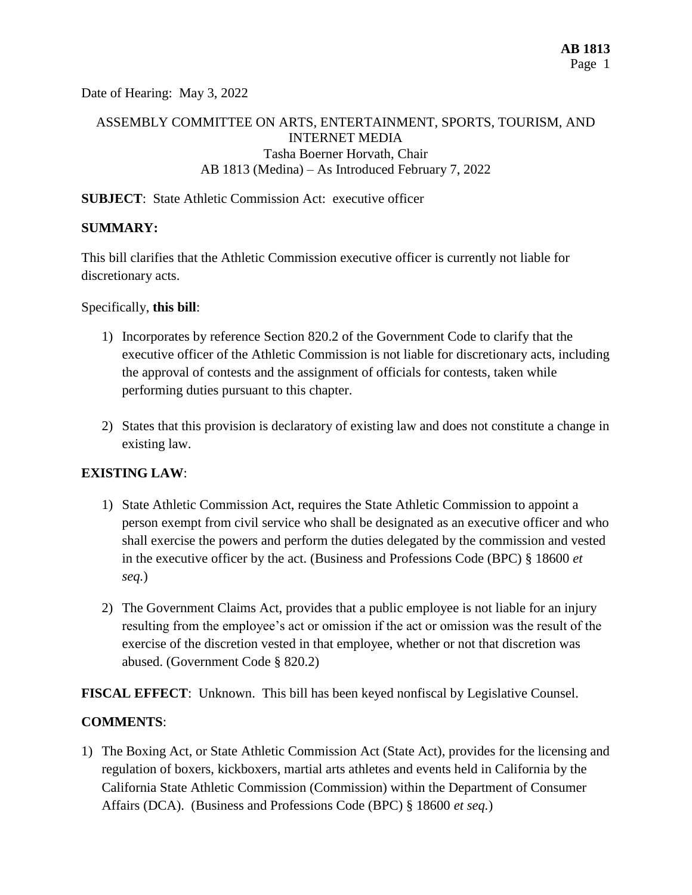Date of Hearing: May 3, 2022

# ASSEMBLY COMMITTEE ON ARTS, ENTERTAINMENT, SPORTS, TOURISM, AND INTERNET MEDIA Tasha Boerner Horvath, Chair AB 1813 (Medina) – As Introduced February 7, 2022

## **SUBJECT:** State Athletic Commission Act: executive officer

## **SUMMARY:**

This bill clarifies that the Athletic Commission executive officer is currently not liable for discretionary acts.

Specifically, **this bill**:

- 1) Incorporates by reference Section 820.2 of the Government Code to clarify that the executive officer of the Athletic Commission is not liable for discretionary acts, including the approval of contests and the assignment of officials for contests, taken while performing duties pursuant to this chapter.
- 2) States that this provision is declaratory of existing law and does not constitute a change in existing law.

## **EXISTING LAW**:

- 1) State Athletic Commission Act, requires the State Athletic Commission to appoint a person exempt from civil service who shall be designated as an executive officer and who shall exercise the powers and perform the duties delegated by the commission and vested in the executive officer by the act. (Business and Professions Code (BPC) § 18600 *et seq.*)
- 2) The Government Claims Act, provides that a public employee is not liable for an injury resulting from the employee's act or omission if the act or omission was the result of the exercise of the discretion vested in that employee, whether or not that discretion was abused. (Government Code § 820.2)

**FISCAL EFFECT**: Unknown. This bill has been keyed nonfiscal by Legislative Counsel.

## **COMMENTS**:

1) The Boxing Act, or State Athletic Commission Act (State Act), provides for the licensing and regulation of boxers, kickboxers, martial arts athletes and events held in California by the California State Athletic Commission (Commission) within the Department of Consumer Affairs (DCA). (Business and Professions Code (BPC) § 18600 *et seq.*)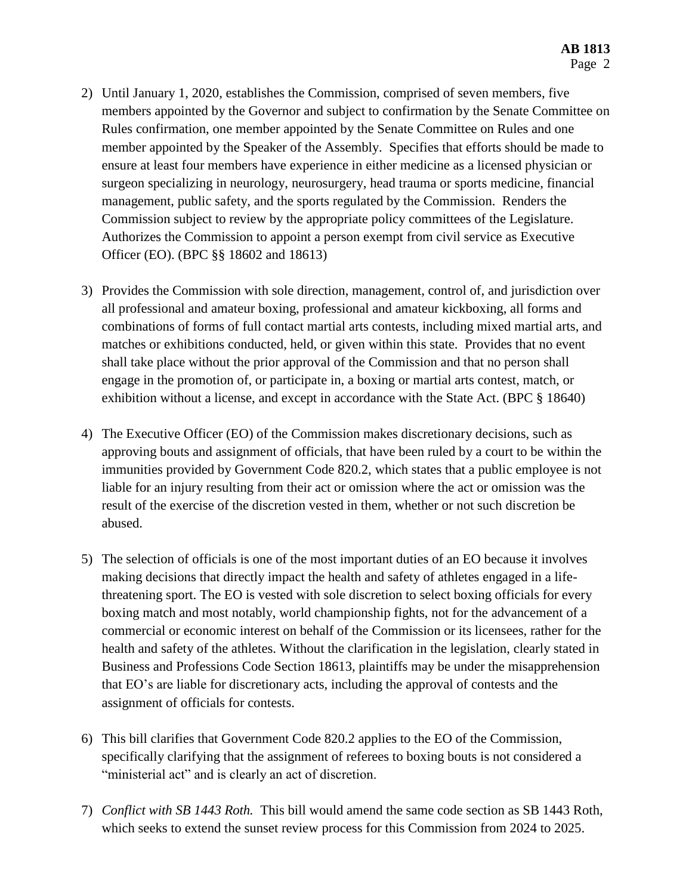- 2) Until January 1, 2020, establishes the Commission, comprised of seven members, five members appointed by the Governor and subject to confirmation by the Senate Committee on Rules confirmation, one member appointed by the Senate Committee on Rules and one member appointed by the Speaker of the Assembly. Specifies that efforts should be made to ensure at least four members have experience in either medicine as a licensed physician or surgeon specializing in neurology, neurosurgery, head trauma or sports medicine, financial management, public safety, and the sports regulated by the Commission. Renders the Commission subject to review by the appropriate policy committees of the Legislature. Authorizes the Commission to appoint a person exempt from civil service as Executive Officer (EO). (BPC §§ 18602 and 18613)
- 3) Provides the Commission with sole direction, management, control of, and jurisdiction over all professional and amateur boxing, professional and amateur kickboxing, all forms and combinations of forms of full contact martial arts contests, including mixed martial arts, and matches or exhibitions conducted, held, or given within this state. Provides that no event shall take place without the prior approval of the Commission and that no person shall engage in the promotion of, or participate in, a boxing or martial arts contest, match, or exhibition without a license, and except in accordance with the State Act. (BPC § 18640)
- 4) The Executive Officer (EO) of the Commission makes discretionary decisions, such as approving bouts and assignment of officials, that have been ruled by a court to be within the immunities provided by Government Code 820.2, which states that a public employee is not liable for an injury resulting from their act or omission where the act or omission was the result of the exercise of the discretion vested in them, whether or not such discretion be abused.
- 5) The selection of officials is one of the most important duties of an EO because it involves making decisions that directly impact the health and safety of athletes engaged in a lifethreatening sport. The EO is vested with sole discretion to select boxing officials for every boxing match and most notably, world championship fights, not for the advancement of a commercial or economic interest on behalf of the Commission or its licensees, rather for the health and safety of the athletes. Without the clarification in the legislation, clearly stated in Business and Professions Code Section 18613, plaintiffs may be under the misapprehension that EO's are liable for discretionary acts, including the approval of contests and the assignment of officials for contests.
- 6) This bill clarifies that Government Code 820.2 applies to the EO of the Commission, specifically clarifying that the assignment of referees to boxing bouts is not considered a "ministerial act" and is clearly an act of discretion.
- 7) *Conflict with SB 1443 Roth.* This bill would amend the same code section as SB 1443 Roth, which seeks to extend the sunset review process for this Commission from 2024 to 2025.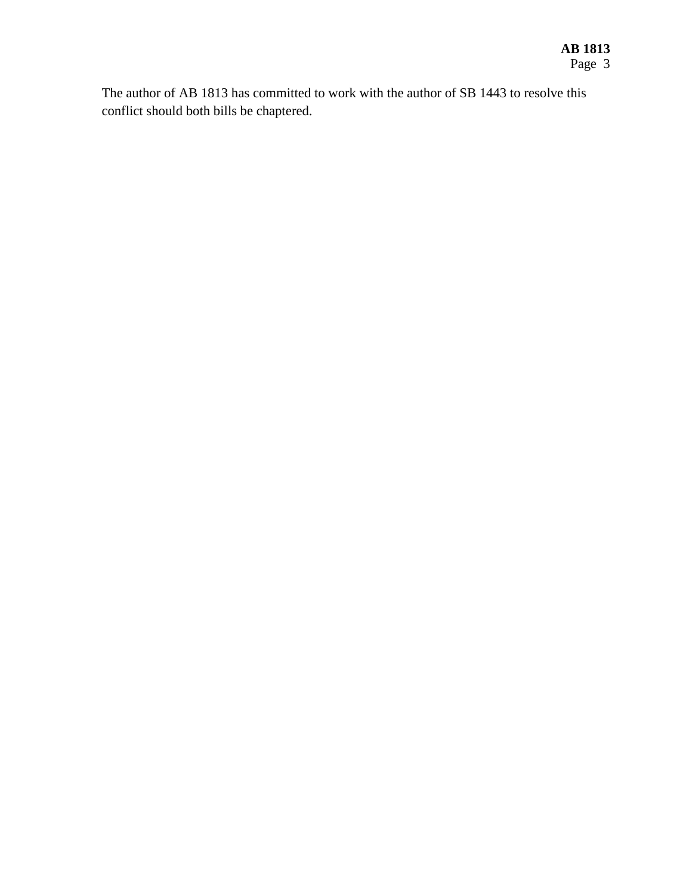The author of AB 1813 has committed to work with the author of SB 1443 to resolve this conflict should both bills be chaptered.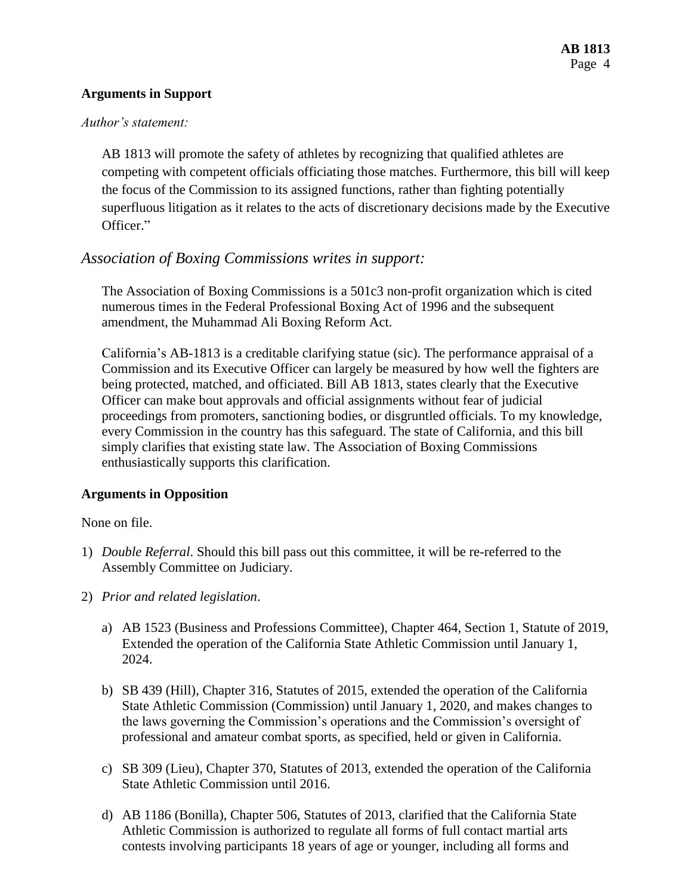## **Arguments in Support**

#### *Author's statement:*

AB 1813 will promote the safety of athletes by recognizing that qualified athletes are competing with competent officials officiating those matches. Furthermore, this bill will keep the focus of the Commission to its assigned functions, rather than fighting potentially superfluous litigation as it relates to the acts of discretionary decisions made by the Executive Officer."

# *Association of Boxing Commissions writes in support:*

The Association of Boxing Commissions is a 501c3 non-profit organization which is cited numerous times in the Federal Professional Boxing Act of 1996 and the subsequent amendment, the Muhammad Ali Boxing Reform Act.

California's AB-1813 is a creditable clarifying statue (sic). The performance appraisal of a Commission and its Executive Officer can largely be measured by how well the fighters are being protected, matched, and officiated. Bill AB 1813, states clearly that the Executive Officer can make bout approvals and official assignments without fear of judicial proceedings from promoters, sanctioning bodies, or disgruntled officials. To my knowledge, every Commission in the country has this safeguard. The state of California, and this bill simply clarifies that existing state law. The Association of Boxing Commissions enthusiastically supports this clarification.

# **Arguments in Opposition**

None on file.

- 1) *Double Referral*. Should this bill pass out this committee, it will be re-referred to the Assembly Committee on Judiciary.
- 2) *Prior and related legislation*.
	- a) AB 1523 (Business and Professions Committee), Chapter 464, Section 1, Statute of 2019, Extended the operation of the California State Athletic Commission until January 1, 2024.
	- b) SB 439 (Hill), Chapter 316, Statutes of 2015, extended the operation of the California State Athletic Commission (Commission) until January 1, 2020, and makes changes to the laws governing the Commission's operations and the Commission's oversight of professional and amateur combat sports, as specified, held or given in California.
	- c) SB 309 (Lieu), Chapter 370, Statutes of 2013, extended the operation of the California State Athletic Commission until 2016.
	- d) AB 1186 (Bonilla), Chapter 506, Statutes of 2013, clarified that the California State Athletic Commission is authorized to regulate all forms of full contact martial arts contests involving participants 18 years of age or younger, including all forms and